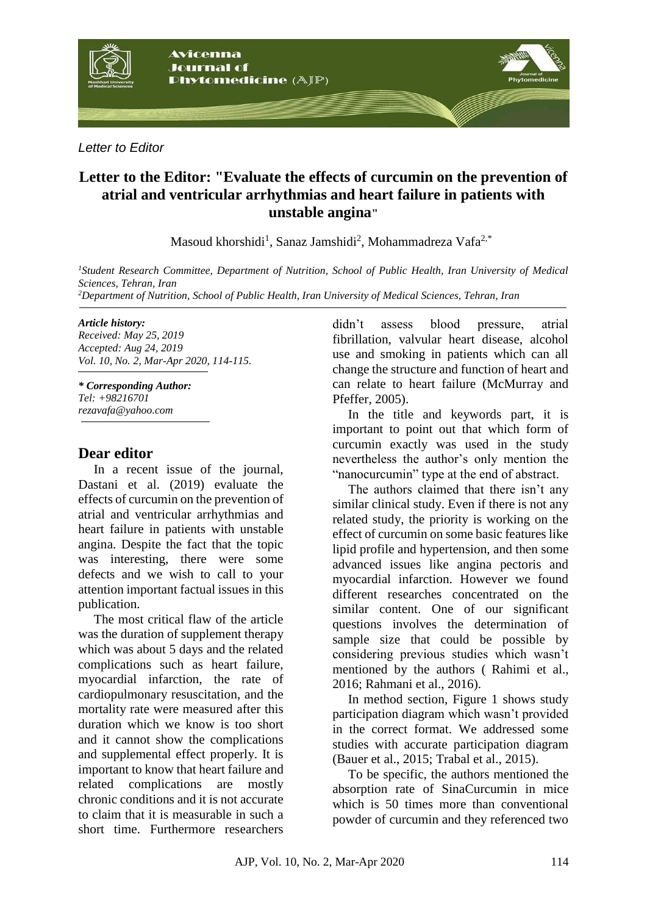

*Letter to Editor*

# **Letter to the Editor: "Evaluate the effects of curcumin on the prevention of atrial and ventricular arrhythmias and heart failure in patients with unstable angina"**

Masoud khorshidi<sup>1</sup>, Sanaz Jamshidi<sup>2</sup>, Mohammadreza Vafa<sup>2,\*</sup>

*<sup>1</sup>Student Research Committee, Department of Nutrition, School of Public Health, Iran University of Medical Sciences, Tehran, Iran <sup>2</sup>Department of Nutrition, School of Public Health, Iran University of Medical Sciences, Tehran, Iran*

### *Article history:*

*Received: May 25, 2019 Accepted: Aug 24, 2019 Vol. 10, No. 2, Mar-Apr 2020, 114-115.*

*\* Corresponding Author: Tel: +98216701 rezavafa@yahoo.com*

## **Dear editor**

In a recent issue of the journal, Dastani et al. (2019) evaluate the effects of curcumin on the prevention of atrial and ventricular arrhythmias and heart failure in patients with unstable angina. Despite the fact that the topic was interesting, there were some defects and we wish to call to your attention important factual issues in this publication.

The most critical flaw of the article was the duration of supplement therapy which was about 5 days and the related complications such as heart failure, myocardial infarction, the rate of cardiopulmonary resuscitation, and the mortality rate were measured after this duration which we know is too short and it cannot show the complications and supplemental effect properly. It is important to know that heart failure and related complications are mostly chronic conditions and it is not accurate to claim that it is measurable in such a short time. Furthermore researchers

didn't assess blood pressure, atrial fibrillation, valvular heart disease, alcohol use and smoking in patients which can all change the structure and function of heart and can relate to heart failure (McMurray and Pfeffer, 2005).

In the title and keywords part, it is important to point out that which form of curcumin exactly was used in the study nevertheless the author's only mention the "nanocurcumin" type at the end of abstract.

The authors claimed that there isn't any similar clinical study. Even if there is not any related study, the priority is working on the effect of curcumin on some basic features like lipid profile and hypertension, and then some advanced issues like angina pectoris and myocardial infarction. However we found different researches concentrated on the similar content. One of our significant questions involves the determination of sample size that could be possible by considering previous studies which wasn't mentioned by the authors ( Rahimi et al., 2016; Rahmani et al., 2016).

In method section, Figure 1 shows study participation diagram which wasn't provided in the correct format. We addressed some studies with accurate participation diagram (Bauer et al., 2015; Trabal et al., 2015).

To be specific, the authors mentioned the absorption rate of SinaCurcumin in mice which is 50 times more than conventional powder of curcumin and they referenced two